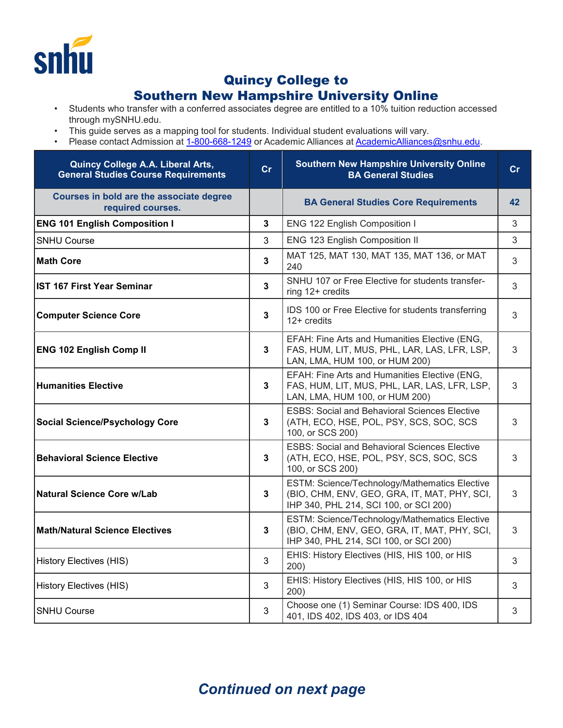

## Quincy College to

## Southern New Hampshire University Online

- Students who transfer with a conferred associates degree are entitled to a 10% tuition reduction accessed through mySNHU.edu.
- This guide serves as a mapping tool for students. Individual student evaluations will vary.
- Please contact Admission at <u>[1-800-668-1249](tel:1-800-668-1249)</u> or Academic Alliances at <u>AcademicAlliances@snhu.edu</u>.

| Quincy College A.A. Liberal Arts,<br><b>General Studies Course Requirements</b> | cr           | <b>Southern New Hampshire University Online</b><br><b>BA General Studies</b>                                                            | cr |
|---------------------------------------------------------------------------------|--------------|-----------------------------------------------------------------------------------------------------------------------------------------|----|
| Courses in bold are the associate degree<br>required courses.                   |              | <b>BA General Studies Core Requirements</b>                                                                                             | 42 |
| <b>ENG 101 English Composition I</b>                                            | $\mathbf 3$  | ENG 122 English Composition I                                                                                                           | 3  |
| <b>SNHU Course</b>                                                              | 3            | ENG 123 English Composition II                                                                                                          | 3  |
| <b>Math Core</b>                                                                | $\mathbf 3$  | MAT 125, MAT 130, MAT 135, MAT 136, or MAT<br>240                                                                                       | 3  |
| <b>IST 167 First Year Seminar</b>                                               | $\mathbf 3$  | SNHU 107 or Free Elective for students transfer-<br>ring 12+ credits                                                                    | 3  |
| <b>Computer Science Core</b>                                                    | 3            | IDS 100 or Free Elective for students transferring<br>$12+$ credits                                                                     | 3  |
| <b>ENG 102 English Comp II</b>                                                  | 3            | EFAH: Fine Arts and Humanities Elective (ENG,<br>FAS, HUM, LIT, MUS, PHL, LAR, LAS, LFR, LSP,<br>LAN, LMA, HUM 100, or HUM 200)         | 3  |
| <b>Humanities Elective</b>                                                      | 3            | EFAH: Fine Arts and Humanities Elective (ENG,<br>FAS, HUM, LIT, MUS, PHL, LAR, LAS, LFR, LSP,<br>LAN, LMA, HUM 100, or HUM 200)         | 3  |
| <b>Social Science/Psychology Core</b>                                           | 3            | <b>ESBS: Social and Behavioral Sciences Elective</b><br>(ATH, ECO, HSE, POL, PSY, SCS, SOC, SCS<br>100, or SCS 200)                     | 3  |
| <b>Behavioral Science Elective</b>                                              | 3            | <b>ESBS: Social and Behavioral Sciences Elective</b><br>(ATH, ECO, HSE, POL, PSY, SCS, SOC, SCS<br>100, or SCS 200)                     | 3  |
| Natural Science Core w/Lab                                                      | 3            | ESTM: Science/Technology/Mathematics Elective<br>(BIO, CHM, ENV, GEO, GRA, IT, MAT, PHY, SCI,<br>IHP 340, PHL 214, SCI 100, or SCI 200) | 3  |
| <b>Math/Natural Science Electives</b>                                           | $\mathbf{3}$ | ESTM: Science/Technology/Mathematics Elective<br>(BIO, CHM, ENV, GEO, GRA, IT, MAT, PHY, SCI,<br>IHP 340, PHL 214, SCI 100, or SCI 200) | 3  |
| <b>History Electives (HIS)</b>                                                  | 3            | EHIS: History Electives (HIS, HIS 100, or HIS<br>200)                                                                                   | 3  |
| <b>History Electives (HIS)</b>                                                  | 3            | EHIS: History Electives (HIS, HIS 100, or HIS<br>200)                                                                                   | 3  |
| <b>SNHU Course</b>                                                              | 3            | Choose one (1) Seminar Course: IDS 400, IDS<br>401, IDS 402, IDS 403, or IDS 404                                                        | 3  |